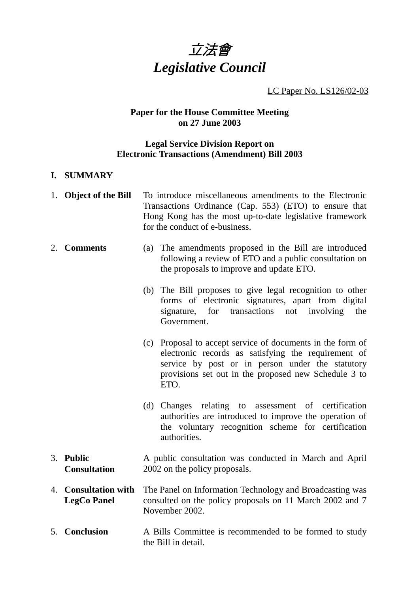

LC Paper No. LS126/02-03

# **Paper for the House Committee Meeting on 27 June 2003**

# **Legal Service Division Report on Electronic Transactions (Amendment) Bill 2003**

### **I. SUMMARY**

|    | 1. Object of the Bill                          | To introduce miscellaneous amendments to the Electronic<br>Transactions Ordinance (Cap. 553) (ETO) to ensure that<br>Hong Kong has the most up-to-date legislative framework<br>for the conduct of e-business.                        |
|----|------------------------------------------------|---------------------------------------------------------------------------------------------------------------------------------------------------------------------------------------------------------------------------------------|
|    | 2. Comments                                    | (a) The amendments proposed in the Bill are introduced<br>following a review of ETO and a public consultation on<br>the proposals to improve and update ETO.                                                                          |
|    |                                                | (b) The Bill proposes to give legal recognition to other<br>forms of electronic signatures, apart from digital<br>for transactions<br>not<br>involving<br>signature,<br>the<br>Government.                                            |
|    |                                                | (c) Proposal to accept service of documents in the form of<br>electronic records as satisfying the requirement of<br>service by post or in person under the statutory<br>provisions set out in the proposed new Schedule 3 to<br>ETO. |
|    |                                                | Changes relating to assessment of certification<br>(d)<br>authorities are introduced to improve the operation of<br>the voluntary recognition scheme for certification<br>authorities.                                                |
|    | 3. Public<br><b>Consultation</b>               | A public consultation was conducted in March and April<br>2002 on the policy proposals.                                                                                                                                               |
| 4. | <b>Consultation with</b><br><b>LegCo Panel</b> | The Panel on Information Technology and Broadcasting was<br>consulted on the policy proposals on 11 March 2002 and 7<br>November 2002.                                                                                                |
|    | 5. Conclusion                                  | A Bills Committee is recommended to be formed to study<br>the Bill in detail.                                                                                                                                                         |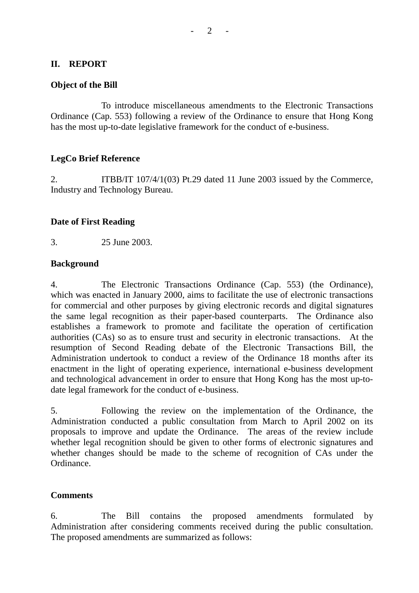### **II. REPORT**

### **Object of the Bill**

To introduce miscellaneous amendments to the Electronic Transactions Ordinance (Cap. 553) following a review of the Ordinance to ensure that Hong Kong has the most up-to-date legislative framework for the conduct of e-business.

## **LegCo Brief Reference**

2. ITBB/IT 107/4/1(03) Pt.29 dated 11 June 2003 issued by the Commerce, Industry and Technology Bureau.

## **Date of First Reading**

3. 25 June 2003.

#### **Background**

4. The Electronic Transactions Ordinance (Cap. 553) (the Ordinance), which was enacted in January 2000, aims to facilitate the use of electronic transactions for commercial and other purposes by giving electronic records and digital signatures the same legal recognition as their paper-based counterparts. The Ordinance also establishes a framework to promote and facilitate the operation of certification authorities (CAs) so as to ensure trust and security in electronic transactions. At the resumption of Second Reading debate of the Electronic Transactions Bill, the Administration undertook to conduct a review of the Ordinance 18 months after its enactment in the light of operating experience, international e-business development and technological advancement in order to ensure that Hong Kong has the most up-todate legal framework for the conduct of e-business.

5. Following the review on the implementation of the Ordinance, the Administration conducted a public consultation from March to April 2002 on its proposals to improve and update the Ordinance. The areas of the review include whether legal recognition should be given to other forms of electronic signatures and whether changes should be made to the scheme of recognition of CAs under the Ordinance.

# **Comments**

6. The Bill contains the proposed amendments formulated by Administration after considering comments received during the public consultation. The proposed amendments are summarized as follows: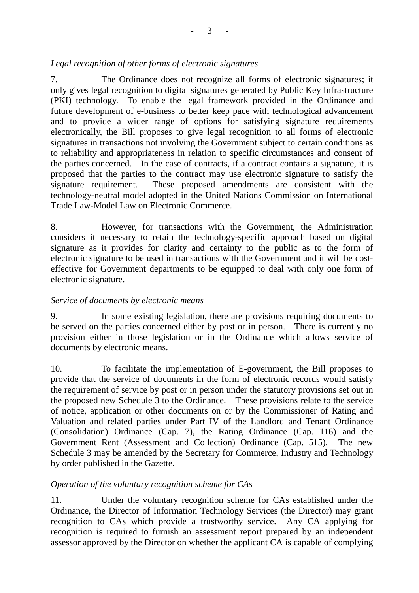# *Legal recognition of other forms of electronic signatures*

7. The Ordinance does not recognize all forms of electronic signatures; it only gives legal recognition to digital signatures generated by Public Key Infrastructure (PKI) technology. To enable the legal framework provided in the Ordinance and future development of e-business to better keep pace with technological advancement and to provide a wider range of options for satisfying signature requirements electronically, the Bill proposes to give legal recognition to all forms of electronic signatures in transactions not involving the Government subject to certain conditions as to reliability and appropriateness in relation to specific circumstances and consent of the parties concerned. In the case of contracts, if a contract contains a signature, it is proposed that the parties to the contract may use electronic signature to satisfy the signature requirement. These proposed amendments are consistent with the technology-neutral model adopted in the United Nations Commission on International Trade Law-Model Law on Electronic Commerce.

8. However, for transactions with the Government, the Administration considers it necessary to retain the technology-specific approach based on digital signature as it provides for clarity and certainty to the public as to the form of electronic signature to be used in transactions with the Government and it will be costeffective for Government departments to be equipped to deal with only one form of electronic signature.

# *Service of documents by electronic means*

9. In some existing legislation, there are provisions requiring documents to be served on the parties concerned either by post or in person. There is currently no provision either in those legislation or in the Ordinance which allows service of documents by electronic means.

10. To facilitate the implementation of E-government, the Bill proposes to provide that the service of documents in the form of electronic records would satisfy the requirement of service by post or in person under the statutory provisions set out in the proposed new Schedule 3 to the Ordinance. These provisions relate to the service of notice, application or other documents on or by the Commissioner of Rating and Valuation and related parties under Part IV of the Landlord and Tenant Ordinance (Consolidation) Ordinance (Cap. 7), the Rating Ordinance (Cap. 116) and the Government Rent (Assessment and Collection) Ordinance (Cap. 515). The new Schedule 3 may be amended by the Secretary for Commerce, Industry and Technology by order published in the Gazette.

# *Operation of the voluntary recognition scheme for CAs*

11. Under the voluntary recognition scheme for CAs established under the Ordinance, the Director of Information Technology Services (the Director) may grant recognition to CAs which provide a trustworthy service. Any CA applying for recognition is required to furnish an assessment report prepared by an independent assessor approved by the Director on whether the applicant CA is capable of complying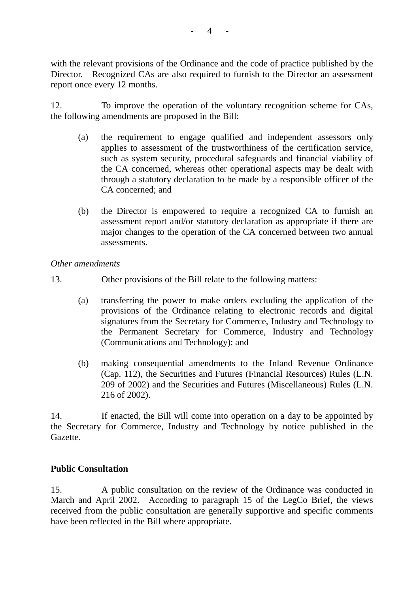with the relevant provisions of the Ordinance and the code of practice published by the Director. Recognized CAs are also required to furnish to the Director an assessment report once every 12 months.

12. To improve the operation of the voluntary recognition scheme for CAs, the following amendments are proposed in the Bill:

- (a) the requirement to engage qualified and independent assessors only applies to assessment of the trustworthiness of the certification service, such as system security, procedural safeguards and financial viability of the CA concerned, whereas other operational aspects may be dealt with through a statutory declaration to be made by a responsible officer of the CA concerned; and
- (b) the Director is empowered to require a recognized CA to furnish an assessment report and/or statutory declaration as appropriate if there are major changes to the operation of the CA concerned between two annual assessments.

## *Other amendments*

- 13. Other provisions of the Bill relate to the following matters:
	- (a) transferring the power to make orders excluding the application of the provisions of the Ordinance relating to electronic records and digital signatures from the Secretary for Commerce, Industry and Technology to the Permanent Secretary for Commerce, Industry and Technology (Communications and Technology); and
	- (b) making consequential amendments to the Inland Revenue Ordinance (Cap. 112), the Securities and Futures (Financial Resources) Rules (L.N. 209 of 2002) and the Securities and Futures (Miscellaneous) Rules (L.N. 216 of 2002).

14. If enacted, the Bill will come into operation on a day to be appointed by the Secretary for Commerce, Industry and Technology by notice published in the Gazette.

# **Public Consultation**

15. A public consultation on the review of the Ordinance was conducted in March and April 2002. According to paragraph 15 of the LegCo Brief, the views received from the public consultation are generally supportive and specific comments have been reflected in the Bill where appropriate.